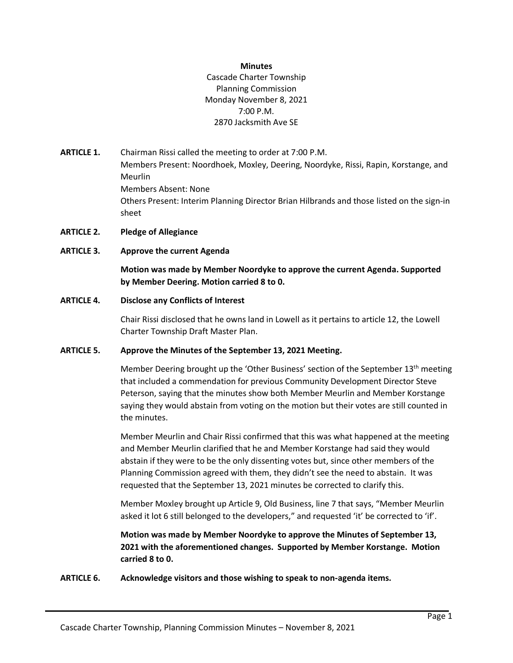#### **Minutes**

Cascade Charter Township Planning Commission Monday November 8, 2021 7:00 P.M. 2870 Jacksmith Ave SE

- **ARTICLE 1.** Chairman Rissi called the meeting to order at 7:00 P.M. Members Present: Noordhoek, Moxley, Deering, Noordyke, Rissi, Rapin, Korstange, and Meurlin Members Absent: None Others Present: Interim Planning Director Brian Hilbrands and those listed on the sign-in sheet
- **ARTICLE 2. Pledge of Allegiance**
- **ARTICLE 3. Approve the current Agenda**

**Motion was made by Member Noordyke to approve the current Agenda. Supported by Member Deering. Motion carried 8 to 0.**

#### **ARTICLE 4. Disclose any Conflicts of Interest**

Chair Rissi disclosed that he owns land in Lowell as it pertains to article 12, the Lowell Charter Township Draft Master Plan.

# **ARTICLE 5. Approve the Minutes of the September 13, 2021 Meeting.**

Member Deering brought up the 'Other Business' section of the September 13<sup>th</sup> meeting that included a commendation for previous Community Development Director Steve Peterson, saying that the minutes show both Member Meurlin and Member Korstange saying they would abstain from voting on the motion but their votes are still counted in the minutes.

Member Meurlin and Chair Rissi confirmed that this was what happened at the meeting and Member Meurlin clarified that he and Member Korstange had said they would abstain if they were to be the only dissenting votes but, since other members of the Planning Commission agreed with them, they didn't see the need to abstain. It was requested that the September 13, 2021 minutes be corrected to clarify this.

Member Moxley brought up Article 9, Old Business, line 7 that says, "Member Meurlin asked it lot 6 still belonged to the developers," and requested 'it' be corrected to 'if'.

**Motion was made by Member Noordyke to approve the Minutes of September 13, 2021 with the aforementioned changes. Supported by Member Korstange. Motion carried 8 to 0.**

**ARTICLE 6. Acknowledge visitors and those wishing to speak to non-agenda items.**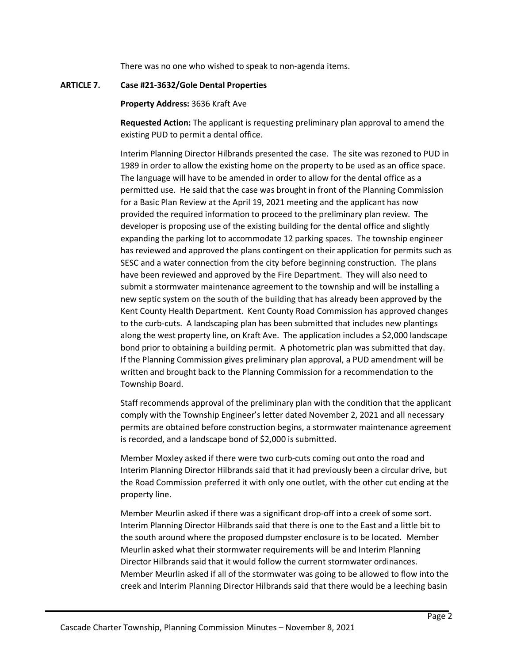There was no one who wished to speak to non-agenda items.

### **ARTICLE 7. Case #21-3632/Gole Dental Properties**

### **Property Address:** 3636 Kraft Ave

**Requested Action:** The applicant is requesting preliminary plan approval to amend the existing PUD to permit a dental office.

Interim Planning Director Hilbrands presented the case. The site was rezoned to PUD in 1989 in order to allow the existing home on the property to be used as an office space. The language will have to be amended in order to allow for the dental office as a permitted use. He said that the case was brought in front of the Planning Commission for a Basic Plan Review at the April 19, 2021 meeting and the applicant has now provided the required information to proceed to the preliminary plan review. The developer is proposing use of the existing building for the dental office and slightly expanding the parking lot to accommodate 12 parking spaces. The township engineer has reviewed and approved the plans contingent on their application for permits such as SESC and a water connection from the city before beginning construction. The plans have been reviewed and approved by the Fire Department. They will also need to submit a stormwater maintenance agreement to the township and will be installing a new septic system on the south of the building that has already been approved by the Kent County Health Department. Kent County Road Commission has approved changes to the curb-cuts. A landscaping plan has been submitted that includes new plantings along the west property line, on Kraft Ave. The application includes a \$2,000 landscape bond prior to obtaining a building permit. A photometric plan was submitted that day. If the Planning Commission gives preliminary plan approval, a PUD amendment will be written and brought back to the Planning Commission for a recommendation to the Township Board.

Staff recommends approval of the preliminary plan with the condition that the applicant comply with the Township Engineer's letter dated November 2, 2021 and all necessary permits are obtained before construction begins, a stormwater maintenance agreement is recorded, and a landscape bond of \$2,000 is submitted.

Member Moxley asked if there were two curb-cuts coming out onto the road and Interim Planning Director Hilbrands said that it had previously been a circular drive, but the Road Commission preferred it with only one outlet, with the other cut ending at the property line.

Member Meurlin asked if there was a significant drop-off into a creek of some sort. Interim Planning Director Hilbrands said that there is one to the East and a little bit to the south around where the proposed dumpster enclosure is to be located. Member Meurlin asked what their stormwater requirements will be and Interim Planning Director Hilbrands said that it would follow the current stormwater ordinances. Member Meurlin asked if all of the stormwater was going to be allowed to flow into the creek and Interim Planning Director Hilbrands said that there would be a leeching basin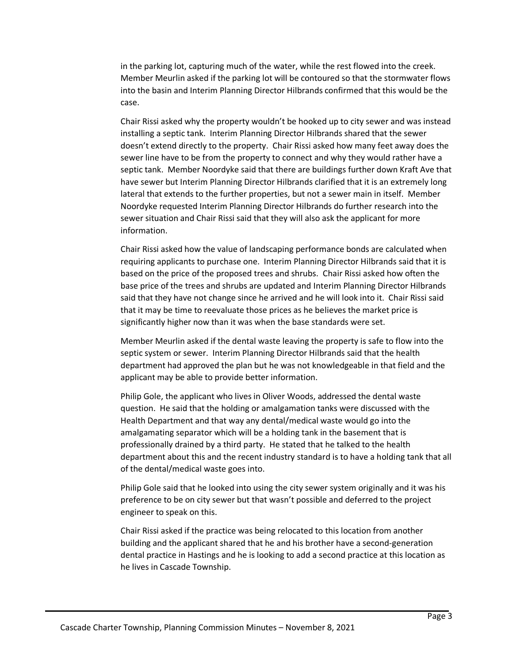in the parking lot, capturing much of the water, while the rest flowed into the creek. Member Meurlin asked if the parking lot will be contoured so that the stormwater flows into the basin and Interim Planning Director Hilbrands confirmed that this would be the case.

Chair Rissi asked why the property wouldn't be hooked up to city sewer and was instead installing a septic tank. Interim Planning Director Hilbrands shared that the sewer doesn't extend directly to the property. Chair Rissi asked how many feet away does the sewer line have to be from the property to connect and why they would rather have a septic tank. Member Noordyke said that there are buildings further down Kraft Ave that have sewer but Interim Planning Director Hilbrands clarified that it is an extremely long lateral that extends to the further properties, but not a sewer main in itself. Member Noordyke requested Interim Planning Director Hilbrands do further research into the sewer situation and Chair Rissi said that they will also ask the applicant for more information.

Chair Rissi asked how the value of landscaping performance bonds are calculated when requiring applicants to purchase one. Interim Planning Director Hilbrands said that it is based on the price of the proposed trees and shrubs. Chair Rissi asked how often the base price of the trees and shrubs are updated and Interim Planning Director Hilbrands said that they have not change since he arrived and he will look into it. Chair Rissi said that it may be time to reevaluate those prices as he believes the market price is significantly higher now than it was when the base standards were set.

Member Meurlin asked if the dental waste leaving the property is safe to flow into the septic system or sewer. Interim Planning Director Hilbrands said that the health department had approved the plan but he was not knowledgeable in that field and the applicant may be able to provide better information.

Philip Gole, the applicant who lives in Oliver Woods, addressed the dental waste question. He said that the holding or amalgamation tanks were discussed with the Health Department and that way any dental/medical waste would go into the amalgamating separator which will be a holding tank in the basement that is professionally drained by a third party. He stated that he talked to the health department about this and the recent industry standard is to have a holding tank that all of the dental/medical waste goes into.

Philip Gole said that he looked into using the city sewer system originally and it was his preference to be on city sewer but that wasn't possible and deferred to the project engineer to speak on this.

Chair Rissi asked if the practice was being relocated to this location from another building and the applicant shared that he and his brother have a second-generation dental practice in Hastings and he is looking to add a second practice at this location as he lives in Cascade Township.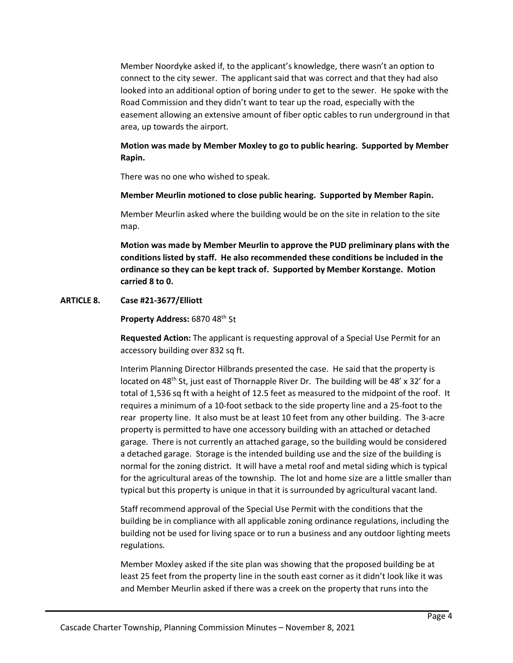Member Noordyke asked if, to the applicant's knowledge, there wasn't an option to connect to the city sewer. The applicant said that was correct and that they had also looked into an additional option of boring under to get to the sewer. He spoke with the Road Commission and they didn't want to tear up the road, especially with the easement allowing an extensive amount of fiber optic cables to run underground in that area, up towards the airport.

# **Motion was made by Member Moxley to go to public hearing. Supported by Member Rapin.**

There was no one who wished to speak.

# **Member Meurlin motioned to close public hearing. Supported by Member Rapin.**

Member Meurlin asked where the building would be on the site in relation to the site map.

**Motion was made by Member Meurlin to approve the PUD preliminary plans with the conditions listed by staff. He also recommended these conditions be included in the ordinance so they can be kept track of. Supported by Member Korstange. Motion carried 8 to 0.**

# **ARTICLE 8. Case #21-3677/Elliott**

**Property Address:** 6870 48th St

**Requested Action:** The applicant is requesting approval of a Special Use Permit for an accessory building over 832 sq ft.

Interim Planning Director Hilbrands presented the case. He said that the property is located on 48<sup>th</sup> St, just east of Thornapple River Dr. The building will be 48' x 32' for a total of 1,536 sq ft with a height of 12.5 feet as measured to the midpoint of the roof. It requires a minimum of a 10-foot setback to the side property line and a 25-foot to the rear property line. It also must be at least 10 feet from any other building. The 3-acre property is permitted to have one accessory building with an attached or detached garage. There is not currently an attached garage, so the building would be considered a detached garage. Storage is the intended building use and the size of the building is normal for the zoning district. It will have a metal roof and metal siding which is typical for the agricultural areas of the township. The lot and home size are a little smaller than typical but this property is unique in that it is surrounded by agricultural vacant land.

Staff recommend approval of the Special Use Permit with the conditions that the building be in compliance with all applicable zoning ordinance regulations, including the building not be used for living space or to run a business and any outdoor lighting meets regulations.

Member Moxley asked if the site plan was showing that the proposed building be at least 25 feet from the property line in the south east corner as it didn't look like it was and Member Meurlin asked if there was a creek on the property that runs into the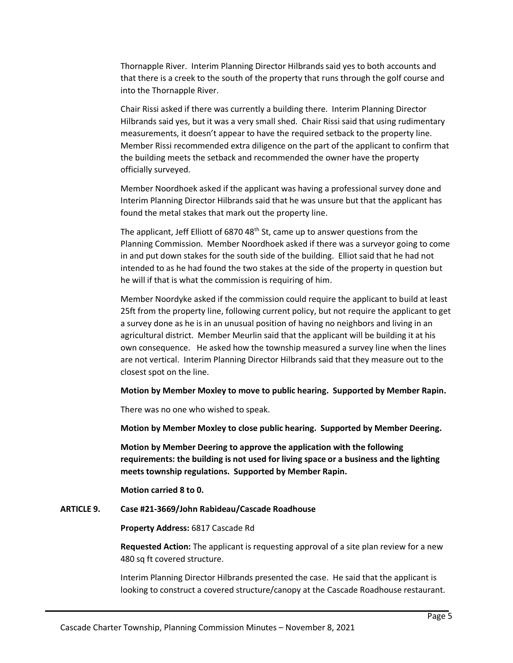Thornapple River. Interim Planning Director Hilbrands said yes to both accounts and that there is a creek to the south of the property that runs through the golf course and into the Thornapple River.

Chair Rissi asked if there was currently a building there. Interim Planning Director Hilbrands said yes, but it was a very small shed. Chair Rissi said that using rudimentary measurements, it doesn't appear to have the required setback to the property line. Member Rissi recommended extra diligence on the part of the applicant to confirm that the building meets the setback and recommended the owner have the property officially surveyed.

Member Noordhoek asked if the applicant was having a professional survey done and Interim Planning Director Hilbrands said that he was unsure but that the applicant has found the metal stakes that mark out the property line.

The applicant, Jeff Elliott of 6870 48<sup>th</sup> St, came up to answer questions from the Planning Commission. Member Noordhoek asked if there was a surveyor going to come in and put down stakes for the south side of the building. Elliot said that he had not intended to as he had found the two stakes at the side of the property in question but he will if that is what the commission is requiring of him.

Member Noordyke asked if the commission could require the applicant to build at least 25ft from the property line, following current policy, but not require the applicant to get a survey done as he is in an unusual position of having no neighbors and living in an agricultural district. Member Meurlin said that the applicant will be building it at his own consequence. He asked how the township measured a survey line when the lines are not vertical. Interim Planning Director Hilbrands said that they measure out to the closest spot on the line.

#### **Motion by Member Moxley to move to public hearing. Supported by Member Rapin.**

There was no one who wished to speak.

**Motion by Member Moxley to close public hearing. Supported by Member Deering.**

**Motion by Member Deering to approve the application with the following requirements: the building is not used for living space or a business and the lighting meets township regulations. Supported by Member Rapin.**

**Motion carried 8 to 0.**

## **ARTICLE 9. Case #21-3669/John Rabideau/Cascade Roadhouse**

**Property Address:** 6817 Cascade Rd

**Requested Action:** The applicant is requesting approval of a site plan review for a new 480 sq ft covered structure.

Interim Planning Director Hilbrands presented the case. He said that the applicant is looking to construct a covered structure/canopy at the Cascade Roadhouse restaurant.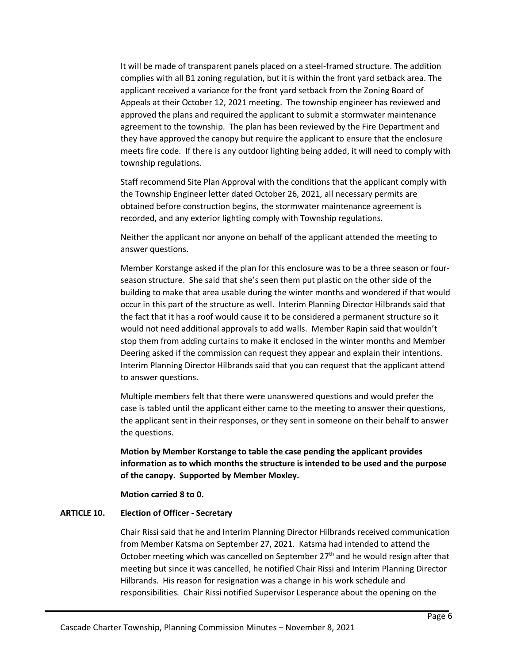It will be made of transparent panels placed on a steel-framed structure. The addition complies with all B1 zoning regulation, but it is within the front yard setback area. The applicant received a variance for the front yard setback from the Zoning Board of Appeals at their October 12, 2021 meeting. The township engineer has reviewed and approved the plans and required the applicant to submit a stormwater maintenance agreement to the township. The plan has been reviewed by the Fire Department and they have approved the canopy but require the applicant to ensure that the enclosure meets fire code. If there is any outdoor lighting being added, it will need to comply with township regulations.

Staff recommend Site Plan Approval with the conditions that the applicant comply with the Township Engineer letter dated October 26, 2021, all necessary permits are obtained before construction begins, the stormwater maintenance agreement is recorded, and any exterior lighting comply with Township regulations.

Neither the applicant nor anyone on behalf of the applicant attended the meeting to answer questions.

Member Korstange asked if the plan for this enclosure was to be a three season or fourseason structure. She said that she's seen them put plastic on the other side of the building to make that area usable during the winter months and wondered if that would occur in this part of the structure as well. Interim Planning Director Hilbrands said that the fact that it has a roof would cause it to be considered a permanent structure so it would not need additional approvals to add walls. Member Rapin said that wouldn't stop them from adding curtains to make it enclosed in the winter months and Member Deering asked if the commission can request they appear and explain their intentions. Interim Planning Director Hilbrands said that you can request that the applicant attend to answer questions.

Multiple members felt that there were unanswered questions and would prefer the case is tabled until the applicant either came to the meeting to answer their questions, the applicant sent in their responses, or they sent in someone on their behalf to answer the questions.

**Motion by Member Korstange to table the case pending the applicant provides information as to which months the structure is intended to be used and the purpose of the canopy. Supported by Member Moxley.** 

**Motion carried 8 to 0.**

# **ARTICLE 10. Election of Officer - Secretary**

Chair Rissi said that he and Interim Planning Director Hilbrands received communication from Member Katsma on September 27, 2021. Katsma had intended to attend the October meeting which was cancelled on September 27<sup>th</sup> and he would resign after that meeting but since it was cancelled, he notified Chair Rissi and Interim Planning Director Hilbrands. His reason for resignation was a change in his work schedule and responsibilities. Chair Rissi notified Supervisor Lesperance about the opening on the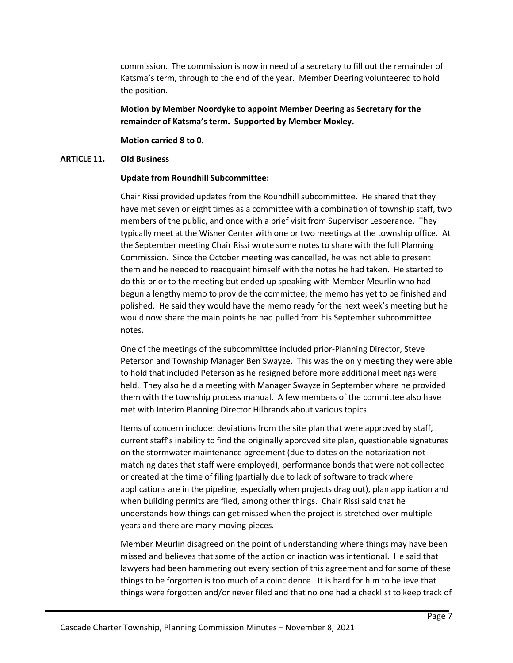commission. The commission is now in need of a secretary to fill out the remainder of Katsma's term, through to the end of the year. Member Deering volunteered to hold the position.

**Motion by Member Noordyke to appoint Member Deering as Secretary for the remainder of Katsma's term. Supported by Member Moxley.** 

**Motion carried 8 to 0.**

# **ARTICLE 11. Old Business**

# **Update from Roundhill Subcommittee:**

Chair Rissi provided updates from the Roundhill subcommittee. He shared that they have met seven or eight times as a committee with a combination of township staff, two members of the public, and once with a brief visit from Supervisor Lesperance. They typically meet at the Wisner Center with one or two meetings at the township office. At the September meeting Chair Rissi wrote some notes to share with the full Planning Commission. Since the October meeting was cancelled, he was not able to present them and he needed to reacquaint himself with the notes he had taken. He started to do this prior to the meeting but ended up speaking with Member Meurlin who had begun a lengthy memo to provide the committee; the memo has yet to be finished and polished. He said they would have the memo ready for the next week's meeting but he would now share the main points he had pulled from his September subcommittee notes.

One of the meetings of the subcommittee included prior-Planning Director, Steve Peterson and Township Manager Ben Swayze. This was the only meeting they were able to hold that included Peterson as he resigned before more additional meetings were held. They also held a meeting with Manager Swayze in September where he provided them with the township process manual. A few members of the committee also have met with Interim Planning Director Hilbrands about various topics.

Items of concern include: deviations from the site plan that were approved by staff, current staff's inability to find the originally approved site plan, questionable signatures on the stormwater maintenance agreement (due to dates on the notarization not matching dates that staff were employed), performance bonds that were not collected or created at the time of filing (partially due to lack of software to track where applications are in the pipeline, especially when projects drag out), plan application and when building permits are filed, among other things. Chair Rissi said that he understands how things can get missed when the project is stretched over multiple years and there are many moving pieces.

Member Meurlin disagreed on the point of understanding where things may have been missed and believes that some of the action or inaction was intentional. He said that lawyers had been hammering out every section of this agreement and for some of these things to be forgotten is too much of a coincidence. It is hard for him to believe that things were forgotten and/or never filed and that no one had a checklist to keep track of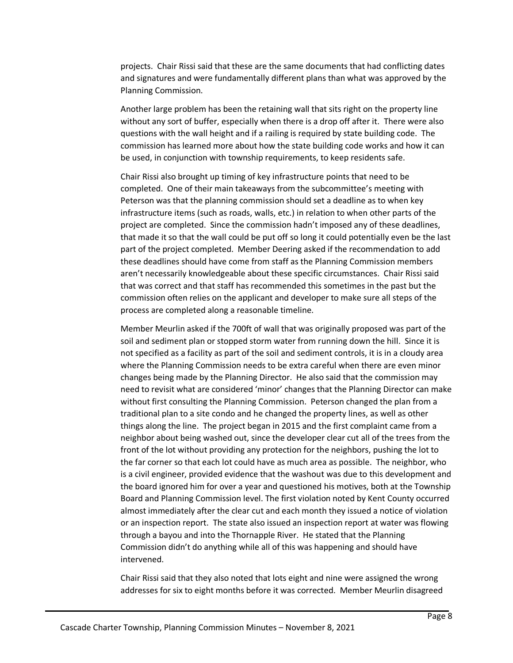projects. Chair Rissi said that these are the same documents that had conflicting dates and signatures and were fundamentally different plans than what was approved by the Planning Commission.

Another large problem has been the retaining wall that sits right on the property line without any sort of buffer, especially when there is a drop off after it. There were also questions with the wall height and if a railing is required by state building code. The commission has learned more about how the state building code works and how it can be used, in conjunction with township requirements, to keep residents safe.

Chair Rissi also brought up timing of key infrastructure points that need to be completed. One of their main takeaways from the subcommittee's meeting with Peterson was that the planning commission should set a deadline as to when key infrastructure items (such as roads, walls, etc.) in relation to when other parts of the project are completed. Since the commission hadn't imposed any of these deadlines, that made it so that the wall could be put off so long it could potentially even be the last part of the project completed. Member Deering asked if the recommendation to add these deadlines should have come from staff as the Planning Commission members aren't necessarily knowledgeable about these specific circumstances. Chair Rissi said that was correct and that staff has recommended this sometimes in the past but the commission often relies on the applicant and developer to make sure all steps of the process are completed along a reasonable timeline.

Member Meurlin asked if the 700ft of wall that was originally proposed was part of the soil and sediment plan or stopped storm water from running down the hill. Since it is not specified as a facility as part of the soil and sediment controls, it is in a cloudy area where the Planning Commission needs to be extra careful when there are even minor changes being made by the Planning Director. He also said that the commission may need to revisit what are considered 'minor' changes that the Planning Director can make without first consulting the Planning Commission. Peterson changed the plan from a traditional plan to a site condo and he changed the property lines, as well as other things along the line. The project began in 2015 and the first complaint came from a neighbor about being washed out, since the developer clear cut all of the trees from the front of the lot without providing any protection for the neighbors, pushing the lot to the far corner so that each lot could have as much area as possible. The neighbor, who is a civil engineer, provided evidence that the washout was due to this development and the board ignored him for over a year and questioned his motives, both at the Township Board and Planning Commission level. The first violation noted by Kent County occurred almost immediately after the clear cut and each month they issued a notice of violation or an inspection report. The state also issued an inspection report at water was flowing through a bayou and into the Thornapple River. He stated that the Planning Commission didn't do anything while all of this was happening and should have intervened.

Chair Rissi said that they also noted that lots eight and nine were assigned the wrong addresses for six to eight months before it was corrected. Member Meurlin disagreed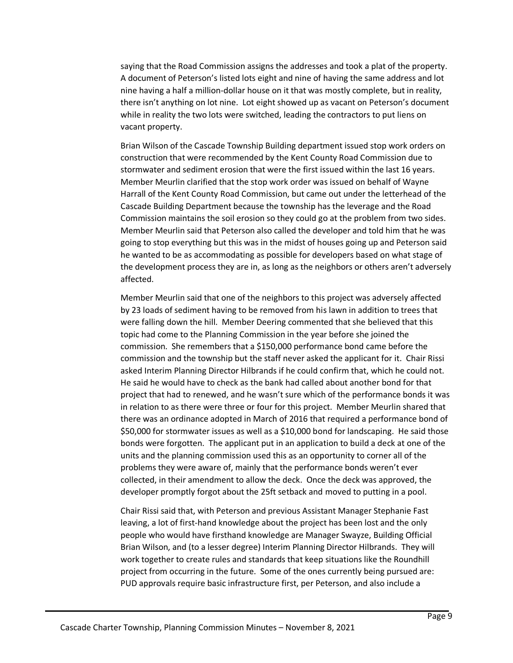saying that the Road Commission assigns the addresses and took a plat of the property. A document of Peterson's listed lots eight and nine of having the same address and lot nine having a half a million-dollar house on it that was mostly complete, but in reality, there isn't anything on lot nine. Lot eight showed up as vacant on Peterson's document while in reality the two lots were switched, leading the contractors to put liens on vacant property.

Brian Wilson of the Cascade Township Building department issued stop work orders on construction that were recommended by the Kent County Road Commission due to stormwater and sediment erosion that were the first issued within the last 16 years. Member Meurlin clarified that the stop work order was issued on behalf of Wayne Harrall of the Kent County Road Commission, but came out under the letterhead of the Cascade Building Department because the township has the leverage and the Road Commission maintains the soil erosion so they could go at the problem from two sides. Member Meurlin said that Peterson also called the developer and told him that he was going to stop everything but this was in the midst of houses going up and Peterson said he wanted to be as accommodating as possible for developers based on what stage of the development process they are in, as long as the neighbors or others aren't adversely affected.

Member Meurlin said that one of the neighbors to this project was adversely affected by 23 loads of sediment having to be removed from his lawn in addition to trees that were falling down the hill. Member Deering commented that she believed that this topic had come to the Planning Commission in the year before she joined the commission. She remembers that a \$150,000 performance bond came before the commission and the township but the staff never asked the applicant for it. Chair Rissi asked Interim Planning Director Hilbrands if he could confirm that, which he could not. He said he would have to check as the bank had called about another bond for that project that had to renewed, and he wasn't sure which of the performance bonds it was in relation to as there were three or four for this project. Member Meurlin shared that there was an ordinance adopted in March of 2016 that required a performance bond of \$50,000 for stormwater issues as well as a \$10,000 bond for landscaping. He said those bonds were forgotten. The applicant put in an application to build a deck at one of the units and the planning commission used this as an opportunity to corner all of the problems they were aware of, mainly that the performance bonds weren't ever collected, in their amendment to allow the deck. Once the deck was approved, the developer promptly forgot about the 25ft setback and moved to putting in a pool.

Chair Rissi said that, with Peterson and previous Assistant Manager Stephanie Fast leaving, a lot of first-hand knowledge about the project has been lost and the only people who would have firsthand knowledge are Manager Swayze, Building Official Brian Wilson, and (to a lesser degree) Interim Planning Director Hilbrands. They will work together to create rules and standards that keep situations like the Roundhill project from occurring in the future. Some of the ones currently being pursued are: PUD approvals require basic infrastructure first, per Peterson, and also include a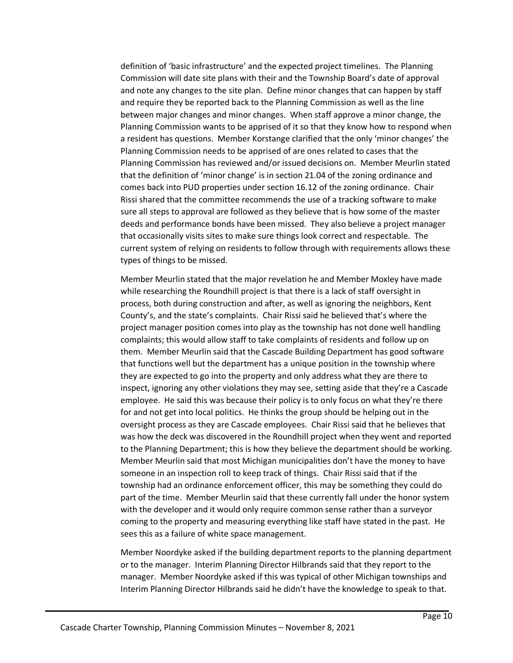definition of 'basic infrastructure' and the expected project timelines. The Planning Commission will date site plans with their and the Township Board's date of approval and note any changes to the site plan. Define minor changes that can happen by staff and require they be reported back to the Planning Commission as well as the line between major changes and minor changes. When staff approve a minor change, the Planning Commission wants to be apprised of it so that they know how to respond when a resident has questions. Member Korstange clarified that the only 'minor changes' the Planning Commission needs to be apprised of are ones related to cases that the Planning Commission has reviewed and/or issued decisions on. Member Meurlin stated that the definition of 'minor change' is in section 21.04 of the zoning ordinance and comes back into PUD properties under section 16.12 of the zoning ordinance. Chair Rissi shared that the committee recommends the use of a tracking software to make sure all steps to approval are followed as they believe that is how some of the master deeds and performance bonds have been missed. They also believe a project manager that occasionally visits sites to make sure things look correct and respectable. The current system of relying on residents to follow through with requirements allows these types of things to be missed.

Member Meurlin stated that the major revelation he and Member Moxley have made while researching the Roundhill project is that there is a lack of staff oversight in process, both during construction and after, as well as ignoring the neighbors, Kent County's, and the state's complaints. Chair Rissi said he believed that's where the project manager position comes into play as the township has not done well handling complaints; this would allow staff to take complaints of residents and follow up on them. Member Meurlin said that the Cascade Building Department has good software that functions well but the department has a unique position in the township where they are expected to go into the property and only address what they are there to inspect, ignoring any other violations they may see, setting aside that they're a Cascade employee. He said this was because their policy is to only focus on what they're there for and not get into local politics. He thinks the group should be helping out in the oversight process as they are Cascade employees. Chair Rissi said that he believes that was how the deck was discovered in the Roundhill project when they went and reported to the Planning Department; this is how they believe the department should be working. Member Meurlin said that most Michigan municipalities don't have the money to have someone in an inspection roll to keep track of things. Chair Rissi said that if the township had an ordinance enforcement officer, this may be something they could do part of the time. Member Meurlin said that these currently fall under the honor system with the developer and it would only require common sense rather than a surveyor coming to the property and measuring everything like staff have stated in the past. He sees this as a failure of white space management.

Member Noordyke asked if the building department reports to the planning department or to the manager. Interim Planning Director Hilbrands said that they report to the manager. Member Noordyke asked if this was typical of other Michigan townships and Interim Planning Director Hilbrands said he didn't have the knowledge to speak to that.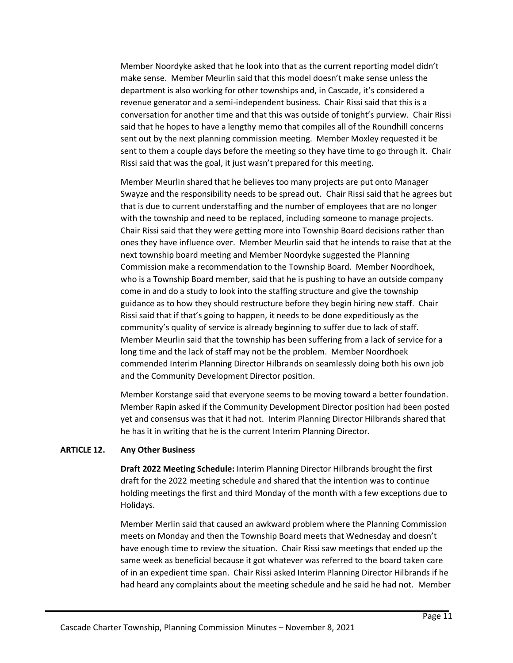Member Noordyke asked that he look into that as the current reporting model didn't make sense. Member Meurlin said that this model doesn't make sense unless the department is also working for other townships and, in Cascade, it's considered a revenue generator and a semi-independent business. Chair Rissi said that this is a conversation for another time and that this was outside of tonight's purview. Chair Rissi said that he hopes to have a lengthy memo that compiles all of the Roundhill concerns sent out by the next planning commission meeting. Member Moxley requested it be sent to them a couple days before the meeting so they have time to go through it. Chair Rissi said that was the goal, it just wasn't prepared for this meeting.

Member Meurlin shared that he believes too many projects are put onto Manager Swayze and the responsibility needs to be spread out. Chair Rissi said that he agrees but that is due to current understaffing and the number of employees that are no longer with the township and need to be replaced, including someone to manage projects. Chair Rissi said that they were getting more into Township Board decisions rather than ones they have influence over. Member Meurlin said that he intends to raise that at the next township board meeting and Member Noordyke suggested the Planning Commission make a recommendation to the Township Board. Member Noordhoek, who is a Township Board member, said that he is pushing to have an outside company come in and do a study to look into the staffing structure and give the township guidance as to how they should restructure before they begin hiring new staff. Chair Rissi said that if that's going to happen, it needs to be done expeditiously as the community's quality of service is already beginning to suffer due to lack of staff. Member Meurlin said that the township has been suffering from a lack of service for a long time and the lack of staff may not be the problem. Member Noordhoek commended Interim Planning Director Hilbrands on seamlessly doing both his own job and the Community Development Director position.

Member Korstange said that everyone seems to be moving toward a better foundation. Member Rapin asked if the Community Development Director position had been posted yet and consensus was that it had not. Interim Planning Director Hilbrands shared that he has it in writing that he is the current Interim Planning Director.

# **ARTICLE 12. Any Other Business**

**Draft 2022 Meeting Schedule:** Interim Planning Director Hilbrands brought the first draft for the 2022 meeting schedule and shared that the intention was to continue holding meetings the first and third Monday of the month with a few exceptions due to Holidays.

Member Merlin said that caused an awkward problem where the Planning Commission meets on Monday and then the Township Board meets that Wednesday and doesn't have enough time to review the situation. Chair Rissi saw meetings that ended up the same week as beneficial because it got whatever was referred to the board taken care of in an expedient time span. Chair Rissi asked Interim Planning Director Hilbrands if he had heard any complaints about the meeting schedule and he said he had not. Member